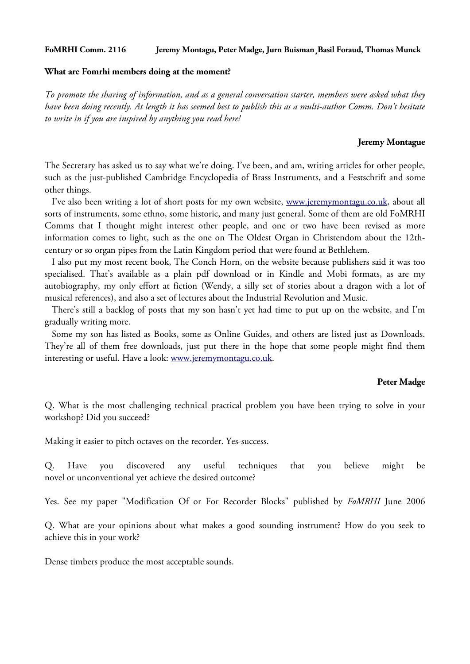## **FoMRHI Comm. 2116 Jeremy Montagu, Peter Madge, Jurn Buisman¸Basil Foraud, Thomas Munck**

### **What are Fomrhi members doing at the moment?**

*To promote the sharing of information, and as a general conversation starter, members were asked what they have been doing recently. At length it has seemed best to publish this as a multi-author Comm. Don't hesitate to write in if you are inspired by anything you read here!*

## **Jeremy Montague**

The Secretary has asked us to say what we're doing. I've been, and am, writing articles for other people, such as the just-published Cambridge Encyclopedia of Brass Instruments, and a Festschrift and some other things.

I've also been writing a lot of short posts for my own website, [www.jeremymontagu.co.uk,](http://www.jeremymontagu.co.uk/) about all sorts of instruments, some ethno, some historic, and many just general. Some of them are old FoMRHI Comms that I thought might interest other people, and one or two have been revised as more information comes to light, such as the one on The Oldest Organ in Christendom about the 12thcentury or so organ pipes from the Latin Kingdom period that were found at Bethlehem.

 I also put my most recent book, The Conch Horn, on the website because publishers said it was too specialised. That's available as a plain pdf download or in Kindle and Mobi formats, as are my autobiography, my only effort at fiction (Wendy, a silly set of stories about a dragon with a lot of musical references), and also a set of lectures about the Industrial Revolution and Music.

 There's still a backlog of posts that my son hasn't yet had time to put up on the website, and I'm gradually writing more.

 Some my son has listed as Books, some as Online Guides, and others are listed just as Downloads. They're all of them free downloads, just put there in the hope that some people might find them interesting or useful. Have a look: [www.jeremymontagu.co.uk.](http://www.jeremymontagu.co.uk/)

#### **Peter Madge**

Q. What is the most challenging technical practical problem you have been trying to solve in your workshop? Did you succeed?

Making it easier to pitch octaves on the recorder. Yes-success.

Q. Have you discovered any useful techniques that you believe might be novel or unconventional yet achieve the desired outcome?

Yes. See my paper "Modification Of or For Recorder Blocks" published by *FoMRHI* June 2006

Q. What are your opinions about what makes a good sounding instrument? How do you seek to achieve this in your work?

Dense timbers produce the most acceptable sounds.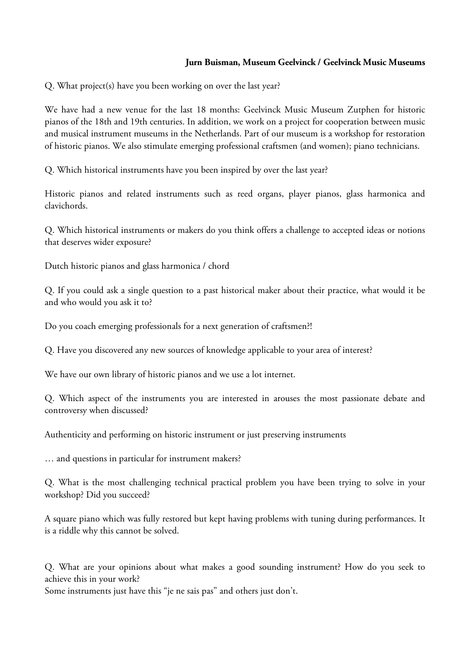# **Jurn Buisman, Museum Geelvinck / Geelvinck Music Museums**

Q. What project(s) have you been working on over the last year?

We have had a new venue for the last 18 months: Geelvinck Music Museum Zutphen for historic pianos of the 18th and 19th centuries. In addition, we work on a project for cooperation between music and musical instrument museums in the Netherlands. Part of our museum is a workshop for restoration of historic pianos. We also stimulate emerging professional craftsmen (and women); piano technicians.

Q. Which historical instruments have you been inspired by over the last year?

Historic pianos and related instruments such as reed organs, player pianos, glass harmonica and clavichords.

Q. Which historical instruments or makers do you think offers a challenge to accepted ideas or notions that deserves wider exposure?

Dutch historic pianos and glass harmonica / chord

Q. If you could ask a single question to a past historical maker about their practice, what would it be and who would you ask it to?

Do you coach emerging professionals for a next generation of craftsmen?!

Q. Have you discovered any new sources of knowledge applicable to your area of interest?

We have our own library of historic pianos and we use a lot internet.

Q. Which aspect of the instruments you are interested in arouses the most passionate debate and controversy when discussed?

Authenticity and performing on historic instrument or just preserving instruments

… and questions in particular for instrument makers?

Q. What is the most challenging technical practical problem you have been trying to solve in your workshop? Did you succeed?

A square piano which was fully restored but kept having problems with tuning during performances. It is a riddle why this cannot be solved.

Q. What are your opinions about what makes a good sounding instrument? How do you seek to achieve this in your work?

Some instruments just have this "je ne sais pas" and others just don't.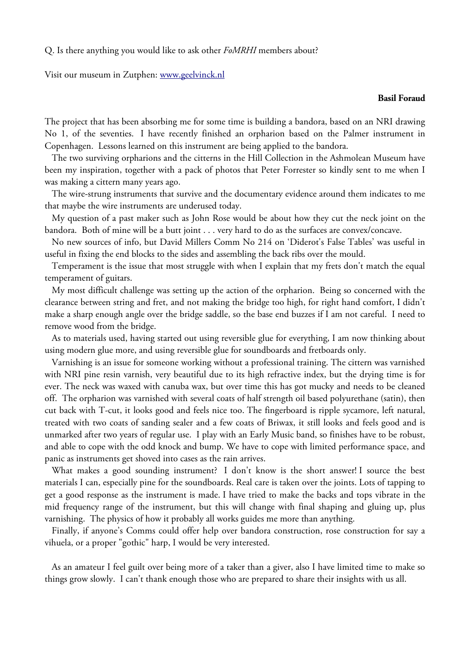Q. Is there anything you would like to ask other *FoMRHI* members about?

Visit our museum in Zutphen: [www.geelvinck.nl](http://www.geelvinck.nl/)

## **Basil Foraud**

The project that has been absorbing me for some time is building a bandora, based on an NRI drawing No 1, of the seventies. I have recently finished an orpharion based on the Palmer instrument in Copenhagen. Lessons learned on this instrument are being applied to the bandora.

 The two surviving orpharions and the citterns in the Hill Collection in the Ashmolean Museum have been my inspiration, together with a pack of photos that Peter Forrester so kindly sent to me when I was making a cittern many years ago.

 The wire-strung instruments that survive and the documentary evidence around them indicates to me that maybe the wire instruments are underused today.

 My question of a past maker such as John Rose would be about how they cut the neck joint on the bandora. Both of mine will be a butt joint . . . very hard to do as the surfaces are convex/concave.

 No new sources of info, but David Millers Comm No 214 on 'Diderot's False Tables' was useful in useful in fixing the end blocks to the sides and assembling the back ribs over the mould.

 Temperament is the issue that most struggle with when I explain that my frets don't match the equal temperament of guitars.

 My most difficult challenge was setting up the action of the orpharion. Being so concerned with the clearance between string and fret, and not making the bridge too high, for right hand comfort, I didn't make a sharp enough angle over the bridge saddle, so the base end buzzes if I am not careful. I need to remove wood from the bridge.

 As to materials used, having started out using reversible glue for everything, I am now thinking about using modern glue more, and using reversible glue for soundboards and fretboards only.

 Varnishing is an issue for someone working without a professional training. The cittern was varnished with NRI pine resin varnish, very beautiful due to its high refractive index, but the drying time is for ever. The neck was waxed with canuba wax, but over time this has got mucky and needs to be cleaned off. The orpharion was varnished with several coats of half strength oil based polyurethane (satin), then cut back with T-cut, it looks good and feels nice too. The fingerboard is ripple sycamore, left natural, treated with two coats of sanding sealer and a few coats of Briwax, it still looks and feels good and is unmarked after two years of regular use. I play with an Early Music band, so finishes have to be robust, and able to cope with the odd knock and bump. We have to cope with limited performance space, and panic as instruments get shoved into cases as the rain arrives.

 What makes a good sounding instrument? I don't know is the short answer! I source the best materials I can, especially pine for the soundboards. Real care is taken over the joints. Lots of tapping to get a good response as the instrument is made. I have tried to make the backs and tops vibrate in the mid frequency range of the instrument, but this will change with final shaping and gluing up, plus varnishing. The physics of how it probably all works guides me more than anything.

 Finally, if anyone's Comms could offer help over bandora construction, rose construction for say a vihuela, or a proper "gothic" harp, I would be very interested.

 As an amateur I feel guilt over being more of a taker than a giver, also I have limited time to make so things grow slowly. I can't thank enough those who are prepared to share their insights with us all.